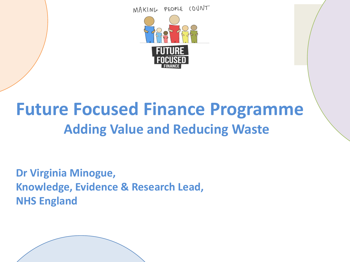MAKING PEOPLE COUNT



### **Future Focused Finance Programme Adding Value and Reducing Waste**

**Dr Virginia Minogue, Knowledge, Evidence & Research Lead, NHS England**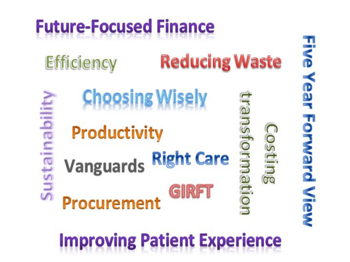

**Five Year Forward View**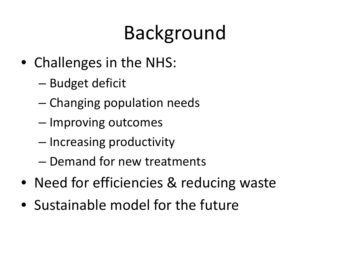## Background

- Challenges in the NHS:
	- Budget deficit
	- Changing population needs
	- Improving outcomes
	- Increasing productivity
	- Demand for new treatments
- Need for efficiencies & reducing waste
- Sustainable model for the future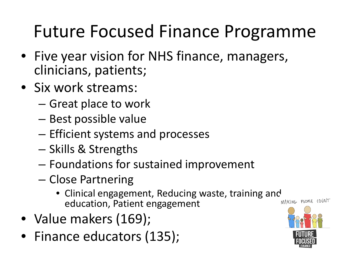## Future Focused Finance Programme

- Five year vision for NHS finance, managers, clinicians, patients;
- Six work streams:
	- Great place to work
	- Best possible value
	- Efficient systems and processes
	- Skills & Strengths
	- Foundations for sustained improvement
	- Close Partnering
		- Clinical engagement, Reducing waste, training and<br>education Patient engagement education, Patient engagement
- Value makers (169);
- Finance educators (135);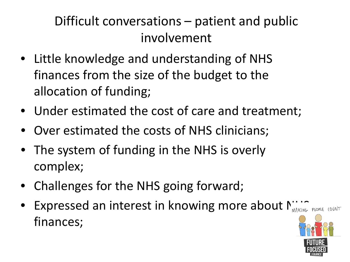#### Difficult conversations – patient and public involvement

- Little knowledge and understanding of NHS finances from the size of the budget to the allocation of funding;
- Under estimated the cost of care and treatment;
- Over estimated the costs of NHS clinicians;
- The system of funding in the NHS is overly complex;
- Challenges for the NHS going forward;
- Expressed an interest in knowing more about  $\Gamma_{\text{MAKINE-PEC}^{*}}$ finances;

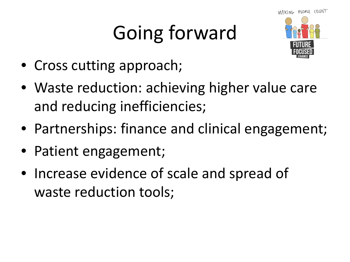# Going forward



- Cross cutting approach;
- Waste reduction: achieving higher value care and reducing inefficiencies;
- Partnerships: finance and clinical engagement;
- Patient engagement;
- Increase evidence of scale and spread of waste reduction tools;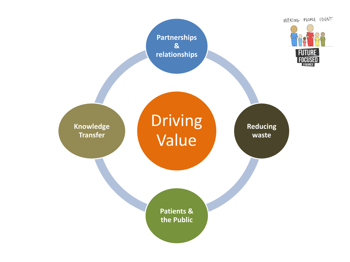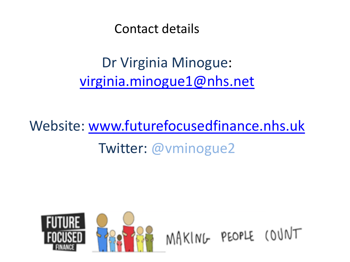Contact details

Dr Virginia Minogue: [virginia.minogue1@nhs.net](mailto:virginia.minogue1@nhs.net)

Website: [www.futurefocusedfinance.nhs.uk](http://www.futurefocusedfinance.nhs.uk/) Twitter: @vminogue2